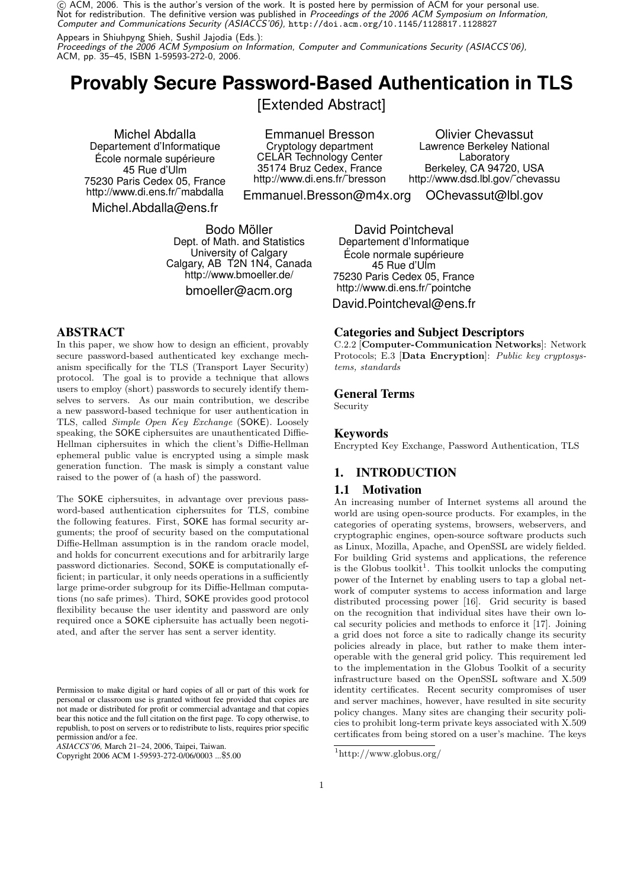$\odot$  ACM, 2006. This is the author's version of the work. It is posted here by permission of ACM for your personal use. Not for redistribution. The definitive version was published in Proceedings of the 2006 ACM Symposium on Information, Computer and Communications Security (ASIACCS'06), http://doi.acm.org/10.1145/1128817.1128827

Appears in Shiuhpyng Shieh, Sushil Jajodia (Eds.):

Proceedings of the 2006 ACM Symposium on Information, Computer and Communications Security (ASIACCS'06), ACM, pp. 35–45, ISBN 1-59593-272-0, 2006.

# **Provably Secure Password-Based Authentication in TLS**

[Extended Abstract]

Michel Abdalla Departement d'Informatique École normale supérieure 45 Rue d'Ulm 75230 Paris Cedex 05, France http://www.di.ens.fr/˜mabdalla Michel.Abdalla@ens.fr

Emmanuel Bresson Cryptology department CELAR Technology Center 35174 Bruz Cedex, France http://www.di.ens.fr/˜bresson

Olivier Chevassut Lawrence Berkeley National **Laboratory** Berkeley, CA 94720, USA http://www.dsd.lbl.gov/˜chevassu

Emmanuel.Bresson@m4x.org OChevassut@lbl.gov

Bodo Möller Dept. of Math. and Statistics University of Calgary Calgary, AB T2N 1N4, Canada http://www.bmoeller.de/ bmoeller@acm.org

ABSTRACT

In this paper, we show how to design an efficient, provably secure password-based authenticated key exchange mechanism specifically for the TLS (Transport Layer Security) protocol. The goal is to provide a technique that allows users to employ (short) passwords to securely identify themselves to servers. As our main contribution, we describe a new password-based technique for user authentication in TLS, called Simple Open Key Exchange (SOKE). Loosely speaking, the SOKE ciphersuites are unauthenticated Diffie-Hellman ciphersuites in which the client's Diffie-Hellman ephemeral public value is encrypted using a simple mask generation function. The mask is simply a constant value raised to the power of (a hash of) the password.

The SOKE ciphersuites, in advantage over previous password-based authentication ciphersuites for TLS, combine the following features. First, SOKE has formal security arguments; the proof of security based on the computational Diffie-Hellman assumption is in the random oracle model, and holds for concurrent executions and for arbitrarily large password dictionaries. Second, SOKE is computationally efficient; in particular, it only needs operations in a sufficiently large prime-order subgroup for its Diffie-Hellman computations (no safe primes). Third, SOKE provides good protocol flexibility because the user identity and password are only required once a SOKE ciphersuite has actually been negotiated, and after the server has sent a server identity.

*ASIACCS'06,* March 21–24, 2006, Taipei, Taiwan.

David Pointcheval Departement d'Informatique École normale supérieure 45 Rue d'Ulm 75230 Paris Cedex 05, France http://www.di.ens.fr/˜pointche David.Pointcheval@ens.fr

#### Categories and Subject Descriptors

C.2.2 [Computer-Communication Networks]: Network Protocols; E.3 [Data Encryption]: Public key cryptosystems, standards

#### General Terms

Security

#### Keywords

Encrypted Key Exchange, Password Authentication, TLS

## 1. INTRODUCTION

#### 1.1 Motivation

An increasing number of Internet systems all around the world are using open-source products. For examples, in the categories of operating systems, browsers, webservers, and cryptographic engines, open-source software products such as Linux, Mozilla, Apache, and OpenSSL are widely fielded. For building Grid systems and applications, the reference is the Globus toolkit<sup>1</sup>. This toolkit unlocks the computing power of the Internet by enabling users to tap a global network of computer systems to access information and large distributed processing power [16]. Grid security is based on the recognition that individual sites have their own local security policies and methods to enforce it [17]. Joining a grid does not force a site to radically change its security policies already in place, but rather to make them interoperable with the general grid policy. This requirement led to the implementation in the Globus Toolkit of a security infrastructure based on the OpenSSL software and X.509 identity certificates. Recent security compromises of user and server machines, however, have resulted in site security policy changes. Many sites are changing their security policies to prohibit long-term private keys associated with X.509 certificates from being stored on a user's machine. The keys

Permission to make digital or hard copies of all or part of this work for personal or classroom use is granted without fee provided that copies are not made or distributed for profit or commercial advantage and that copies bear this notice and the full citation on the first page. To copy otherwise, to republish, to post on servers or to redistribute to lists, requires prior specific permission and/or a fee.

Copyright 2006 ACM 1-59593-272-0/06/0003 ...\$5.00

 $^1\mathrm{http://www.globus.org/}$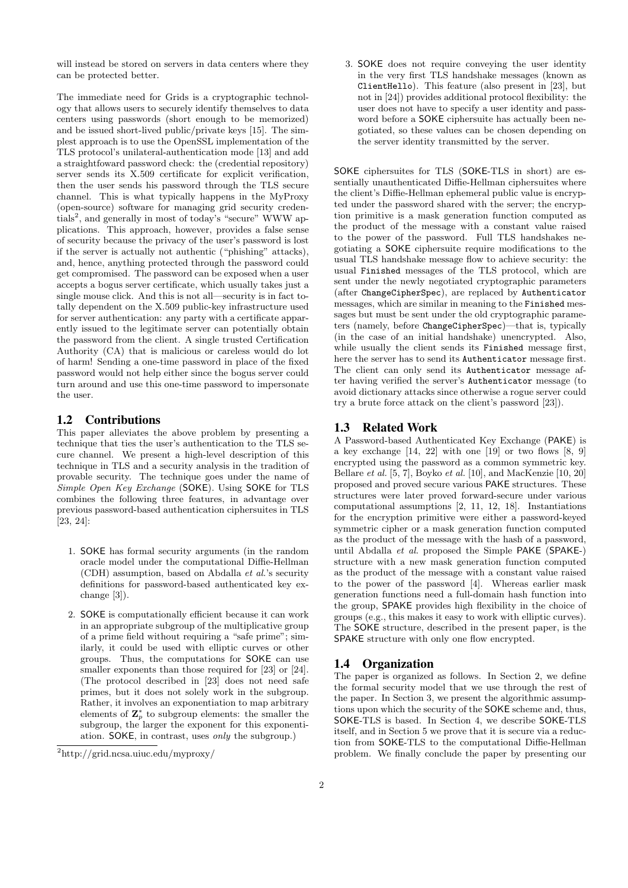will instead be stored on servers in data centers where they can be protected better.

The immediate need for Grids is a cryptographic technology that allows users to securely identify themselves to data centers using passwords (short enough to be memorized) and be issued short-lived public/private keys [15]. The simplest approach is to use the OpenSSL implementation of the TLS protocol's unilateral-authentication mode [13] and add a straightfoward password check: the (credential repository) server sends its X.509 certificate for explicit verification, then the user sends his password through the TLS secure channel. This is what typically happens in the MyProxy (open-source) software for managing grid security credentials<sup>2</sup>, and generally in most of today's "secure" WWW applications. This approach, however, provides a false sense of security because the privacy of the user's password is lost if the server is actually not authentic ("phishing" attacks), and, hence, anything protected through the password could get compromised. The password can be exposed when a user accepts a bogus server certificate, which usually takes just a single mouse click. And this is not all—security is in fact totally dependent on the X.509 public-key infrastructure used for server authentication: any party with a certificate apparently issued to the legitimate server can potentially obtain the password from the client. A single trusted Certification Authority (CA) that is malicious or careless would do lot of harm! Sending a one-time password in place of the fixed password would not help either since the bogus server could turn around and use this one-time password to impersonate the user.

## 1.2 Contributions

This paper alleviates the above problem by presenting a technique that ties the user's authentication to the TLS secure channel. We present a high-level description of this technique in TLS and a security analysis in the tradition of provable security. The technique goes under the name of Simple Open Key Exchange (SOKE). Using SOKE for TLS combines the following three features, in advantage over previous password-based authentication ciphersuites in TLS [23, 24]:

- 1. SOKE has formal security arguments (in the random oracle model under the computational Diffie-Hellman (CDH) assumption, based on Abdalla et al.'s security definitions for password-based authenticated key exchange [3]).
- 2. SOKE is computationally efficient because it can work in an appropriate subgroup of the multiplicative group of a prime field without requiring a "safe prime"; similarly, it could be used with elliptic curves or other groups. Thus, the computations for SOKE can use smaller exponents than those required for [23] or [24]. (The protocol described in [23] does not need safe primes, but it does not solely work in the subgroup. Rather, it involves an exponentiation to map arbitrary elements of  $\mathbf{Z}_p^*$  to subgroup elements: the smaller the subgroup, the larger the exponent for this exponentiation. SOKE, in contrast, uses only the subgroup.)

3. SOKE does not require conveying the user identity in the very first TLS handshake messages (known as ClientHello). This feature (also present in [23], but not in [24]) provides additional protocol flexibility: the user does not have to specify a user identity and password before a SOKE ciphersuite has actually been negotiated, so these values can be chosen depending on the server identity transmitted by the server.

SOKE ciphersuites for TLS (SOKE-TLS in short) are essentially unauthenticated Diffie-Hellman ciphersuites where the client's Diffie-Hellman ephemeral public value is encrypted under the password shared with the server; the encryption primitive is a mask generation function computed as the product of the message with a constant value raised to the power of the password. Full TLS handshakes negotiating a SOKE ciphersuite require modifications to the usual TLS handshake message flow to achieve security: the usual Finished messages of the TLS protocol, which are sent under the newly negotiated cryptographic parameters (after ChangeCipherSpec), are replaced by Authenticator messages, which are similar in meaning to the Finished messages but must be sent under the old cryptographic parameters (namely, before ChangeCipherSpec)—that is, typically (in the case of an initial handshake) unencrypted. Also, while usually the client sends its Finished message first, here the server has to send its Authenticator message first. The client can only send its Authenticator message after having verified the server's Authenticator message (to avoid dictionary attacks since otherwise a rogue server could try a brute force attack on the client's password [23]).

## 1.3 Related Work

A Password-based Authenticated Key Exchange (PAKE) is a key exchange [14, 22] with one [19] or two flows [8, 9] encrypted using the password as a common symmetric key. Bellare et al. [5, 7], Boyko et al. [10], and MacKenzie [10, 20] proposed and proved secure various PAKE structures. These structures were later proved forward-secure under various computational assumptions [2, 11, 12, 18]. Instantiations for the encryption primitive were either a password-keyed symmetric cipher or a mask generation function computed as the product of the message with the hash of a password, until Abdalla et al. proposed the Simple PAKE (SPAKE-) structure with a new mask generation function computed as the product of the message with a constant value raised to the power of the password [4]. Whereas earlier mask generation functions need a full-domain hash function into the group, SPAKE provides high flexibility in the choice of groups (e.g., this makes it easy to work with elliptic curves). The SOKE structure, described in the present paper, is the SPAKE structure with only one flow encrypted.

## 1.4 Organization

The paper is organized as follows. In Section 2, we define the formal security model that we use through the rest of the paper. In Section 3, we present the algorithmic assumptions upon which the security of the SOKE scheme and, thus, SOKE-TLS is based. In Section 4, we describe SOKE-TLS itself, and in Section 5 we prove that it is secure via a reduction from SOKE-TLS to the computational Diffie-Hellman problem. We finally conclude the paper by presenting our

<sup>2</sup>http://grid.ncsa.uiuc.edu/myproxy/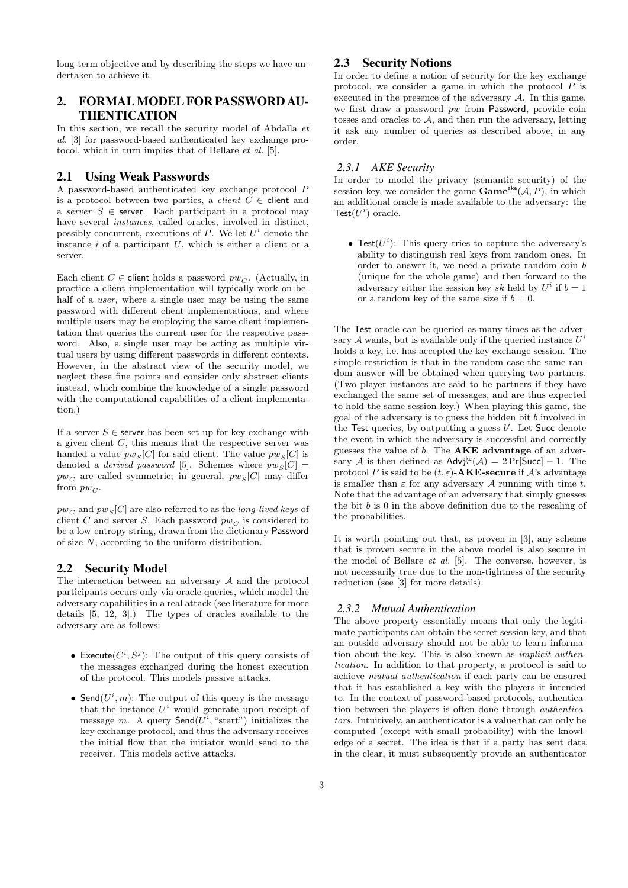long-term objective and by describing the steps we have undertaken to achieve it.

# 2. FORMALMODEL FOR PASSWORD AU-**THENTICATION**

In this section, we recall the security model of Abdalla  $et$ al. [3] for password-based authenticated key exchange protocol, which in turn implies that of Bellare et al. [5].

## 2.1 Using Weak Passwords

A password-based authenticated key exchange protocol P is a protocol between two parties, a *client*  $\overline{C} \in$  client and a server  $S \in$  server. Each participant in a protocol may have several *instances*, called oracles, involved in distinct, possibly concurrent, executions of  $P$ . We let  $U^i$  denote the instance  $i$  of a participant  $U$ , which is either a client or a server.

Each client  $C \in$  client holds a password  $pw_C$ . (Actually, in practice a client implementation will typically work on behalf of a *user*, where a single user may be using the same password with different client implementations, and where multiple users may be employing the same client implementation that queries the current user for the respective password. Also, a single user may be acting as multiple virtual users by using different passwords in different contexts. However, in the abstract view of the security model, we neglect these fine points and consider only abstract clients instead, which combine the knowledge of a single password with the computational capabilities of a client implementation.)

If a server  $S \in$  server has been set up for key exchange with a given client  $C$ , this means that the respective server was handed a value  $pw_s[C]$  for said client. The value  $pw_s[C]$  is denoted a *derived password* [5]. Schemes where  $pw_s[C] =$  $pw<sub>C</sub>$  are called symmetric; in general,  $pw<sub>S</sub>[C]$  may differ from  $pw_C$ .

 $pw_C$  and  $pw_S[C]$  are also referred to as the *long-lived keys* of client C and server S. Each password  $pw<sub>C</sub>$  is considered to be a low-entropy string, drawn from the dictionary Password of size  $N$ , according to the uniform distribution.

#### 2.2 Security Model

The interaction between an adversary  $A$  and the protocol participants occurs only via oracle queries, which model the adversary capabilities in a real attack (see literature for more details [5, 12, 3].) The types of oracles available to the adversary are as follows:

- Execute( $C^i$ ,  $S^j$ ): The output of this query consists of the messages exchanged during the honest execution of the protocol. This models passive attacks.
- Send $(U^i, m)$ : The output of this query is the message that the instance  $U^i$  would generate upon receipt of message m. A query  $\mathsf{Send}(U^i, \text{``start''})$  initializes the key exchange protocol, and thus the adversary receives the initial flow that the initiator would send to the receiver. This models active attacks.

## 2.3 Security Notions

In order to define a notion of security for the key exchange protocol, we consider a game in which the protocol  $P$  is executed in the presence of the adversary A. In this game, we first draw a password pw from Password, provide coin tosses and oracles to  $A$ , and then run the adversary, letting it ask any number of queries as described above, in any order.

#### *2.3.1 AKE Security*

In order to model the privacy (semantic security) of the session key, we consider the game  $Game^{ake}(\mathcal{A}, P)$ , in which an additional oracle is made available to the adversary: the Test $(U^i)$  oracle.

• Test $(U<sup>i</sup>)$ : This query tries to capture the adversary's ability to distinguish real keys from random ones. In order to answer it, we need a private random coin b (unique for the whole game) and then forward to the adversary either the session key sk held by  $U^i$  if  $b = 1$ or a random key of the same size if  $b = 0$ .

The Test-oracle can be queried as many times as the adversary  $A$  wants, but is available only if the queried instance  $U^i$ holds a key, i.e. has accepted the key exchange session. The simple restriction is that in the random case the same random answer will be obtained when querying two partners. (Two player instances are said to be partners if they have exchanged the same set of messages, and are thus expected to hold the same session key.) When playing this game, the goal of the adversary is to guess the hidden bit b involved in the Test-queries, by outputting a guess  $b'$ . Let Succ denote the event in which the adversary is successful and correctly guesses the value of b. The AKE advantage of an adversary A is then defined as  $\mathsf{Adv}_{P}^{\mathsf{ake}}(\mathcal{A}) = 2 \Pr[\mathsf{Succ}] - 1$ . The protocol P is said to be  $(t, \varepsilon)$ -**AKE-secure** if A's advantage is smaller than  $\varepsilon$  for any adversary A running with time t. Note that the advantage of an adversary that simply guesses the bit  $b$  is  $0$  in the above definition due to the rescaling of the probabilities.

It is worth pointing out that, as proven in [3], any scheme that is proven secure in the above model is also secure in the model of Bellare et al. [5]. The converse, however, is not necessarily true due to the non-tightness of the security reduction (see [3] for more details).

#### *2.3.2 Mutual Authentication*

The above property essentially means that only the legitimate participants can obtain the secret session key, and that an outside adversary should not be able to learn information about the key. This is also known as implicit authentication. In addition to that property, a protocol is said to achieve mutual authentication if each party can be ensured that it has established a key with the players it intended to. In the context of password-based protocols, authentication between the players is often done through authenticators. Intuitively, an authenticator is a value that can only be computed (except with small probability) with the knowledge of a secret. The idea is that if a party has sent data in the clear, it must subsequently provide an authenticator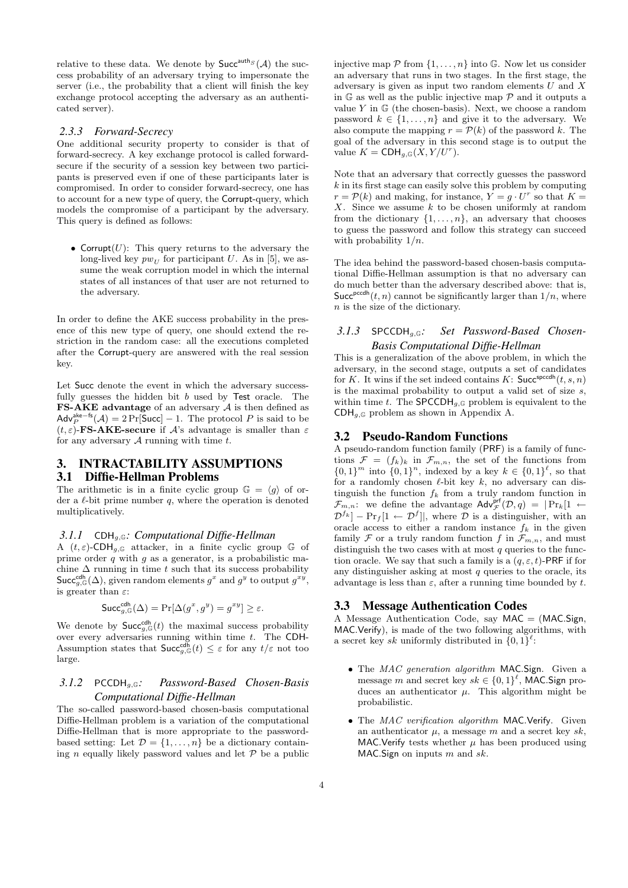relative to these data. We denote by  $\mathsf{Succ}^{\text{auth}}(\mathcal{A})$  the success probability of an adversary trying to impersonate the server (i.e., the probability that a client will finish the key exchange protocol accepting the adversary as an authenticated server).

## *2.3.3 Forward-Secrecy*

One additional security property to consider is that of forward-secrecy. A key exchange protocol is called forwardsecure if the security of a session key between two participants is preserved even if one of these participants later is compromised. In order to consider forward-secrecy, one has to account for a new type of query, the Corrupt-query, which models the compromise of a participant by the adversary. This query is defined as follows:

• Corrupt $(U)$ : This query returns to the adversary the long-lived key  $pw_U$  for participant U. As in [5], we assume the weak corruption model in which the internal states of all instances of that user are not returned to the adversary.

In order to define the AKE success probability in the presence of this new type of query, one should extend the restriction in the random case: all the executions completed after the Corrupt-query are answered with the real session key.

Let Succ denote the event in which the adversary successfully guesses the hidden bit b used by Test oracle. The FS-AKE advantage of an adversary  $A$  is then defined as  $\mathsf{Adv}_{P}^{\mathsf{ake}-\mathsf{fs}}(\mathcal{A}) = 2 \Pr[\mathsf{Succ}] - 1.$  The protocol P is said to be  $(t, \varepsilon)$ -**FS-AKE-secure** if A's advantage is smaller than  $\varepsilon$ for any adversary  $A$  running with time  $t$ .

## 3. INTRACTABILITY ASSUMPTIONS 3.1 Diffie-Hellman Problems

The arithmetic is in a finite cyclic group  $\mathbb{G} = \langle g \rangle$  of order a  $\ell$ -bit prime number  $q$ , where the operation is denoted multiplicatively.

#### *3.1.1* CDHg,<sup>G</sup>*: Computational Diffie-Hellman*

A  $(t, \varepsilon)$ -CDH<sub>a, G</sub> attacker, in a finite cyclic group G of prime order  $q$  with  $g$  as a generator, is a probabilistic machine  $\Delta$  running in time t such that its success probability  $\mathsf{Succ}_{g,\mathbb{G}}^{\mathsf{cdh}}(\Delta)$ , given random elements  $g^x$  and  $g^y$  to output  $g^{xy}$ , is greater than  $\varepsilon$ :

$$
\mathsf{Succ}_{g,\mathbb{G}}^{\mathsf{cdh}}(\Delta) = \Pr[\Delta(g^x, g^y) = g^{xy}] \ge \varepsilon.
$$

We denote by  $\mathsf{Succ}^{\text{cdh}}_{g,\mathbb{G}}(t)$  the maximal success probability over every adversaries running within time  $t$ . The CDH-Assumption states that  $\mathsf{Succ}^{\mathsf{cdh}}_{g,\mathbb{G}}(t) \leq \varepsilon$  for any  $t/\varepsilon$  not too large.

## *3.1.2* PCCDHg,<sup>G</sup>*: Password-Based Chosen-Basis Computational Diffie-Hellman*

The so-called password-based chosen-basis computational Diffie-Hellman problem is a variation of the computational Diffie-Hellman that is more appropriate to the passwordbased setting: Let  $\mathcal{D} = \{1, \ldots, n\}$  be a dictionary containing n equally likely password values and let  $P$  be a public injective map  $P$  from  $\{1, \ldots, n\}$  into G. Now let us consider an adversary that runs in two stages. In the first stage, the adversary is given as input two random elements  $U$  and  $X$ in  $\mathbb{G}$  as well as the public injective map  $\mathcal P$  and it outputs a value  $Y$  in  $\mathbb G$  (the chosen-basis). Next, we choose a random password  $k \in \{1, \ldots, n\}$  and give it to the adversary. We also compute the mapping  $r = \mathcal{P}(k)$  of the password k. The goal of the adversary in this second stage is to output the value  $K = \text{CDH}_{g,\mathbb{G}}(X, Y/U^r)$ .

Note that an adversary that correctly guesses the password  $k$  in its first stage can easily solve this problem by computing  $r = \mathcal{P}(k)$  and making, for instance,  $Y = g \cdot U^r$  so that  $K =$  $X$ . Since we assume  $k$  to be chosen uniformly at random from the dictionary  $\{1, \ldots, n\}$ , an adversary that chooses to guess the password and follow this strategy can succeed with probability  $1/n$ .

The idea behind the password-based chosen-basis computational Diffie-Hellman assumption is that no adversary can do much better than the adversary described above: that is, Succ<sup>pccdh</sup> $(t, n)$  cannot be significantly larger than  $1/n$ , where n is the size of the dictionary.

## *3.1.3* SPCCDHg,<sup>G</sup>*: Set Password-Based Chosen-Basis Computational Diffie-Hellman*

This is a generalization of the above problem, in which the adversary, in the second stage, outputs a set of candidates for K. It wins if the set indeed contains K: Succ<sup>spccdh</sup> $(t, s, n)$ is the maximal probability to output a valid set of size  $s$ . within time t. The  $\text{SPCCDH}_{q,\mathbb{G}}$  problem is equivalent to the  $CDH_{q,\mathbb{G}}$  problem as shown in Appendix A.

#### 3.2 Pseudo-Random Functions

A pseudo-random function family (PRF) is a family of functions  $\mathcal{F} = (f_k)_k$  in  $\mathcal{F}_{m,n}$ , the set of the functions from  ${0,1}^m$  into  ${0,1}^n$ , indexed by a key  $k \in {0,1}^{\ell}$ , so that for a randomly chosen  $\ell$ -bit key k, no adversary can distinguish the function  $f_k$  from a truly random function in  $\mathcal{F}_{m,n}$ : we define the advantage  $\mathsf{Adv}_{\mathcal{F}}^{\mathsf{prf}}(\mathcal{D},q) = |\Pr_k[1 \leftarrow$  $\mathcal{D}^{f_k}$  – Pr<sub>f</sub>[1  $\leftarrow \mathcal{D}^{f}$ ], where  $\mathcal{D}$  is a distinguisher, with an oracle access to either a random instance  $f_k$  in the given family  $\mathcal F$  or a truly random function f in  $\mathcal F_{m,n}$ , and must distinguish the two cases with at most  $q$  queries to the function oracle. We say that such a family is a  $(q, \varepsilon, t)$ -PRF if for any distinguisher asking at most  $q$  queries to the oracle, its advantage is less than  $\varepsilon$ , after a running time bounded by t.

## 3.3 Message Authentication Codes

A Message Authentication Code, say  $MAC = (MAC, Sign,$ MAC.Verify), is made of the two following algorithms, with a secret key sk uniformly distributed in  $\{0,1\}^{\ell}$ :

- The MAC generation algorithm MAC. Sign. Given a message m and secret key  $sk \in \{0,1\}^{\ell}$ , MAC. Sign produces an authenticator  $\mu$ . This algorithm might be probabilistic.
- The MAC verification algorithm MAC.Verify. Given an authenticator  $\mu$ , a message m and a secret key sk, MAC. Verify tests whether  $\mu$  has been produced using  $MAC.$  Sign on inputs m and sk.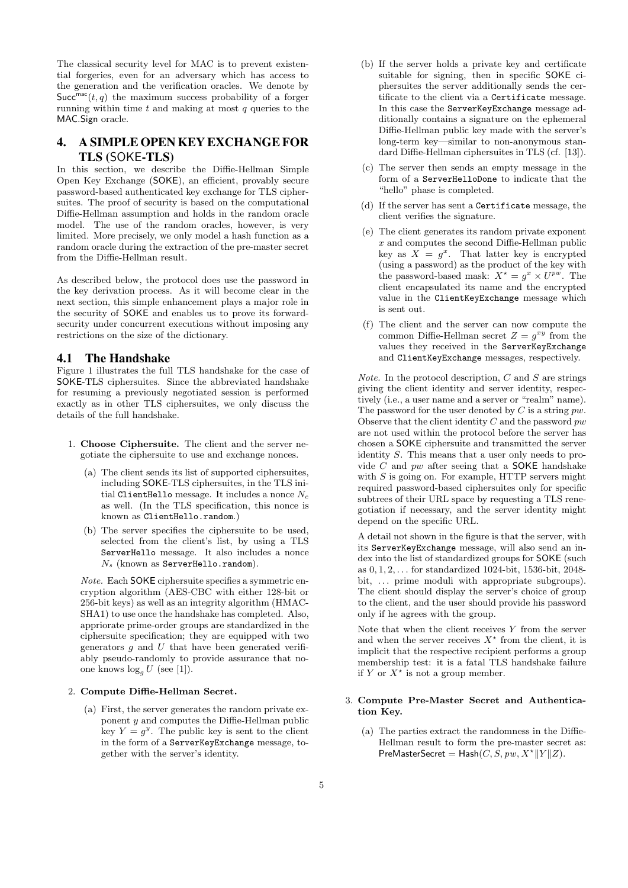The classical security level for MAC is to prevent existential forgeries, even for an adversary which has access to the generation and the verification oracles. We denote by  $Succ^{mac}(t, q)$  the maximum success probability of a forger running within time  $t$  and making at most  $q$  queries to the MAC.Sign oracle.

# 4. A SIMPLE OPEN KEY EXCHANGE FOR TLS (SOKE-TLS)

In this section, we describe the Diffie-Hellman Simple Open Key Exchange (SOKE), an efficient, provably secure password-based authenticated key exchange for TLS ciphersuites. The proof of security is based on the computational Diffie-Hellman assumption and holds in the random oracle model. The use of the random oracles, however, is very limited. More precisely, we only model a hash function as a random oracle during the extraction of the pre-master secret from the Diffie-Hellman result.

As described below, the protocol does use the password in the key derivation process. As it will become clear in the next section, this simple enhancement plays a major role in the security of SOKE and enables us to prove its forwardsecurity under concurrent executions without imposing any restrictions on the size of the dictionary.

#### 4.1 The Handshake

Figure 1 illustrates the full TLS handshake for the case of SOKE-TLS ciphersuites. Since the abbreviated handshake for resuming a previously negotiated session is performed exactly as in other TLS ciphersuites, we only discuss the details of the full handshake.

- 1. Choose Ciphersuite. The client and the server negotiate the ciphersuite to use and exchange nonces.
	- (a) The client sends its list of supported ciphersuites, including SOKE-TLS ciphersuites, in the TLS initial ClientHello message. It includes a nonce  $N_c$ as well. (In the TLS specification, this nonce is known as ClientHello.random.)
	- (b) The server specifies the ciphersuite to be used, selected from the client's list, by using a TLS ServerHello message. It also includes a nonce  $N_s$  (known as ServerHello.random).

Note. Each SOKE ciphersuite specifies a symmetric encryption algorithm (AES-CBC with either 128-bit or 256-bit keys) as well as an integrity algorithm (HMAC-SHA1) to use once the handshake has completed. Also, appriorate prime-order groups are standardized in the ciphersuite specification; they are equipped with two generators  $q$  and  $U$  that have been generated verifiably pseudo-randomly to provide assurance that noone knows  $\log_q U$  (see [1]).

#### 2. Compute Diffie-Hellman Secret.

(a) First, the server generates the random private exponent y and computes the Diffie-Hellman public key  $Y = g^y$ . The public key is sent to the client in the form of a ServerKeyExchange message, together with the server's identity.

- (b) If the server holds a private key and certificate suitable for signing, then in specific SOKE ciphersuites the server additionally sends the certificate to the client via a Certificate message. In this case the ServerKeyExchange message additionally contains a signature on the ephemeral Diffie-Hellman public key made with the server's long-term key—similar to non-anonymous standard Diffie-Hellman ciphersuites in TLS (cf. [13]).
- (c) The server then sends an empty message in the form of a ServerHelloDone to indicate that the "hello" phase is completed.
- (d) If the server has sent a Certificate message, the client verifies the signature.
- (e) The client generates its random private exponent  $x$  and computes the second Diffie-Hellman public key as  $X = g^x$ . That latter key is encrypted (using a password) as the product of the key with the password-based mask:  $X^* = g^x \times U^{pw}$ . The client encapsulated its name and the encrypted value in the ClientKeyExchange message which is sent out.
- (f) The client and the server can now compute the common Diffie-Hellman secret  $Z = g^{xy}$  from the values they received in the ServerKeyExchange and ClientKeyExchange messages, respectively.

*Note.* In the protocol description,  $C$  and  $S$  are strings giving the client identity and server identity, respectively (i.e., a user name and a server or "realm" name). The password for the user denoted by  $C$  is a string  $pw$ . Observe that the client identity  $C$  and the password  $pw$ are not used within the protocol before the server has chosen a SOKE ciphersuite and transmitted the server identity S. This means that a user only needs to provide  $C$  and  $pw$  after seeing that a SOKE handshake with  $S$  is going on. For example, HTTP servers might required password-based ciphersuites only for specific subtrees of their URL space by requesting a TLS renegotiation if necessary, and the server identity might depend on the specific URL.

A detail not shown in the figure is that the server, with its ServerKeyExchange message, will also send an index into the list of standardized groups for SOKE (such as 0, 1, 2, . . . for standardized 1024-bit, 1536-bit, 2048 bit, ... prime moduli with appropriate subgroups). The client should display the server's choice of group to the client, and the user should provide his password only if he agrees with the group.

Note that when the client receives  $Y$  from the server and when the server receives  $X^*$  from the client, it is implicit that the respective recipient performs a group membership test: it is a fatal TLS handshake failure if Y or  $X^*$  is not a group member.

#### 3. Compute Pre-Master Secret and Authentication Key.

(a) The parties extract the randomness in the Diffie-Hellman result to form the pre-master secret as: PreMasterSecret = Hash $(C, S, pw, X^* || Y || Z)$ .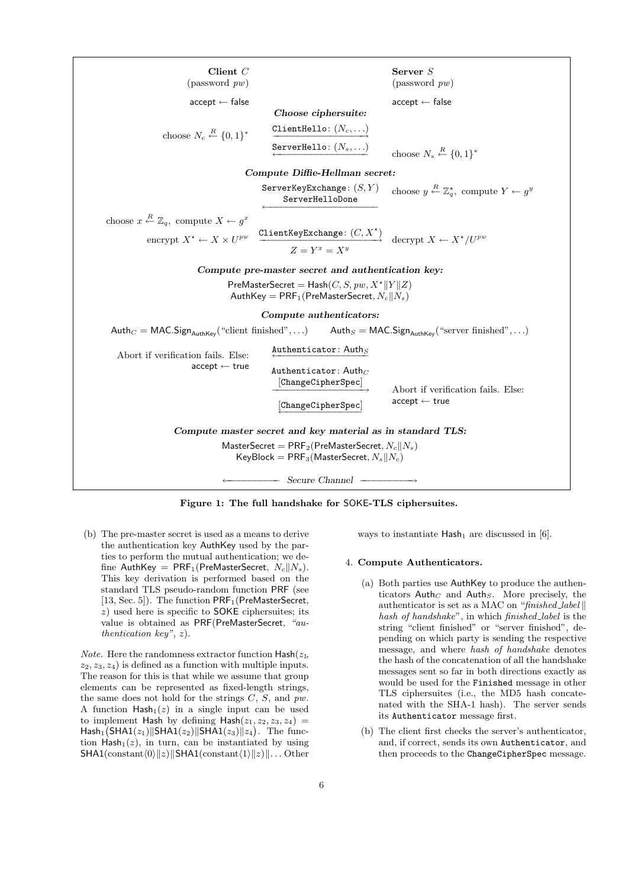| Client $C$                                                                                                          |                                                                                    | Server $S$                                                                      |
|---------------------------------------------------------------------------------------------------------------------|------------------------------------------------------------------------------------|---------------------------------------------------------------------------------|
| $(\text{password }pw)$                                                                                              |                                                                                    | $(\text{password }pw)$                                                          |
| $accept \leftarrow false$                                                                                           |                                                                                    | $accept \leftarrow false$                                                       |
|                                                                                                                     | Choose ciphersuite:                                                                |                                                                                 |
| choose $N_c \stackrel{R}{\leftarrow} \{0,1\}^*$                                                                     | ClientHello: $(N_c, \ldots)$                                                       |                                                                                 |
|                                                                                                                     | ServerHello: $(N_s, \ldots)$                                                       | choose $N_s \stackrel{R}{\leftarrow} \{0,1\}^*$                                 |
| Compute Diffie-Hellman secret:                                                                                      |                                                                                    |                                                                                 |
|                                                                                                                     | ServerKeyExchange: $(S, Y)$<br>ServerHelloDone                                     | choose $y \stackrel{R}{\leftarrow} \mathbb{Z}_q^*$ , compute $Y \leftarrow g^y$ |
| choose $x \stackrel{R}{\leftarrow} \mathbb{Z}_q$ , compute $X \leftarrow g^x$                                       |                                                                                    |                                                                                 |
| encrypt $X^* \leftarrow X \times U^{pw}$                                                                            | ClientKeyExchange: $(C, X^*)$<br>$Z = Y^x = X^y$ decrypt $X \leftarrow X^*/U^{pw}$ |                                                                                 |
|                                                                                                                     |                                                                                    |                                                                                 |
| Compute pre-master secret and authentication key:                                                                   |                                                                                    |                                                                                 |
| PreMasterSecret = $\textsf{Hash}(C, S, pw, X^*    Y    Z)$<br>AuthKey = $PRF_1(PreMasterSecret, N_c  N_s)$          |                                                                                    |                                                                                 |
| Compute authenticators:                                                                                             |                                                                                    |                                                                                 |
| Authc = MAC.Sign <sub>AuthKey</sub> ("client finished", ) Auths = MAC.Sign <sub>AuthKey</sub> ("server finished", ) |                                                                                    |                                                                                 |
| Abort if verification fails. Else:<br>$accept \leftarrow true$                                                      | Authenticator: $\mathsf{Author}_S$                                                 |                                                                                 |
|                                                                                                                     | Authenticator: $\mathsf{Author}_C$<br>[ChangeCipherSpec]                           | Abort if verification fails. Else:                                              |
|                                                                                                                     | [Chapter Spec]                                                                     | $accept \leftarrow true$                                                        |
| Compute master secret and key material as in standard TLS:                                                          |                                                                                    |                                                                                 |
| $MasterSecret = PRF_2(PreMasterSecret, N_c  N_s)$                                                                   |                                                                                    |                                                                                 |
| KeyBlock = $PRF_3(MasterSecret, N_s  N_c)$                                                                          |                                                                                    |                                                                                 |
| - Secure Channel -                                                                                                  |                                                                                    |                                                                                 |



(b) The pre-master secret is used as a means to derive the authentication key AuthKey used by the parties to perform the mutual authentication; we define AuthKey =  $PRF_1(PreMasterSecret, N_c||N_s)$ . This key derivation is performed based on the standard TLS pseudo-random function PRF (see [13, Sec. 5]). The function PRF<sub>1</sub>(PreMasterSecret,  $z$ ) used here is specific to SOKE ciphersuites; its value is obtained as PRF(PreMasterSecret, "authentication key",  $z$ ).

*Note.* Here the randomness extractor function  $\textsf{Hash}(z_1, z_2)$  $z_2, z_3, z_4$  is defined as a function with multiple inputs. The reason for this is that while we assume that group elements can be represented as fixed-length strings, the same does not hold for the strings  $C, S$ , and  $pw$ . A function  $\text{Hash}_1(z)$  in a single input can be used to implement Hash by defining  $\textsf{Hash}(z_1, z_2, z_3, z_4) =$  $\mathsf{Hash}_1(\mathsf{SHA1}(z_1)\|\mathsf{SHA1}(z_2)\|\mathsf{SHA1}(z_3)\|z_4)$ . The function  $\text{Hash}_1(z)$ , in turn, can be instantiated by using  $SHA1(constant\langle 0 \rangle ||z)$ ||SHA1(constant $\langle 1 \rangle ||z)$ ||...Other

ways to instantiate  $\text{Hash}_1$  are discussed in [6].

#### 4. Compute Authenticators.

- (a) Both parties use AuthKey to produce the authenticators  $\mathsf{Author}_C$  and  $\mathsf{Author}_S$ . More precisely, the authenticator is set as a MAC on "finished\_label  $\parallel$ hash of handshake", in which finished\_label is the string "client finished" or "server finished", depending on which party is sending the respective message, and where hash of handshake denotes the hash of the concatenation of all the handshake messages sent so far in both directions exactly as would be used for the Finished message in other TLS ciphersuites (i.e., the MD5 hash concatenated with the SHA-1 hash). The server sends its Authenticator message first.
- (b) The client first checks the server's authenticator, and, if correct, sends its own Authenticator, and then proceeds to the ChangeCipherSpec message.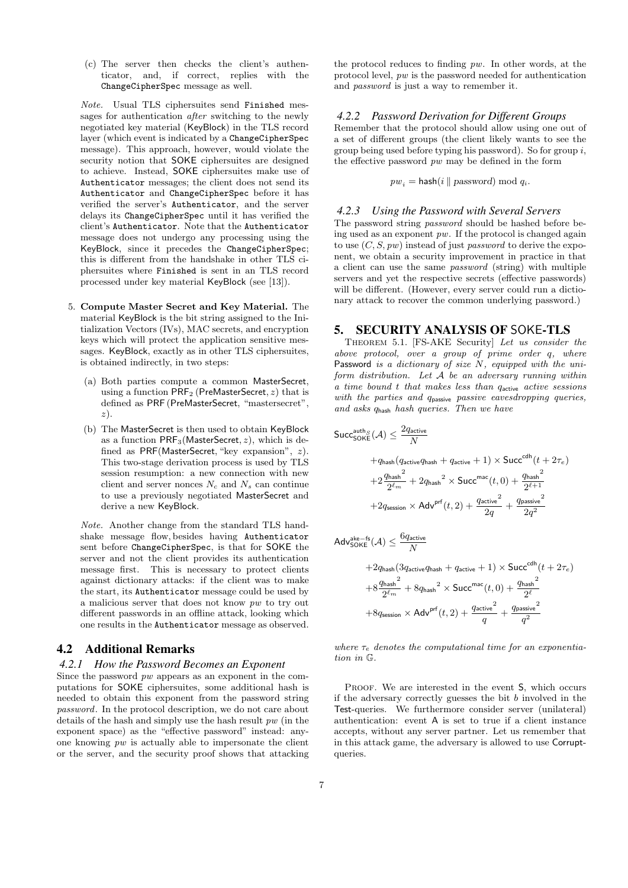(c) The server then checks the client's authenticator, and, if correct, replies with the ChangeCipherSpec message as well.

Note. Usual TLS ciphersuites send Finished messages for authentication after switching to the newly negotiated key material (KeyBlock) in the TLS record layer (which event is indicated by a ChangeCipherSpec message). This approach, however, would violate the security notion that SOKE ciphersuites are designed to achieve. Instead, SOKE ciphersuites make use of Authenticator messages; the client does not send its Authenticator and ChangeCipherSpec before it has verified the server's Authenticator, and the server delays its ChangeCipherSpec until it has verified the client's Authenticator. Note that the Authenticator message does not undergo any processing using the KeyBlock, since it precedes the ChangeCipherSpec; this is different from the handshake in other TLS ciphersuites where Finished is sent in an TLS record processed under key material KeyBlock (see [13]).

- 5. Compute Master Secret and Key Material. The material KeyBlock is the bit string assigned to the Initialization Vectors (IVs), MAC secrets, and encryption keys which will protect the application sensitive messages. KeyBlock, exactly as in other TLS ciphersuites, is obtained indirectly, in two steps:
	- (a) Both parties compute a common MasterSecret, using a function  $PRF_2$  (PreMasterSecret,  $z$ ) that is defined as PRF (PreMasterSecret, "mastersecret", z).
	- (b) The MasterSecret is then used to obtain KeyBlock as a function  $PRF_3(MasterSecret, z)$ , which is defined as PRF(MasterSecret, "key expansion", z). This two-stage derivation process is used by TLS session resumption: a new connection with new client and server nonces  $N_c$  and  $N_s$  can continue to use a previously negotiated MasterSecret and derive a new KeyBlock.

Note. Another change from the standard TLS handshake message flow, besides having Authenticator sent before ChangeCipherSpec, is that for SOKE the server and not the client provides its authentication message first. This is necessary to protect clients against dictionary attacks: if the client was to make the start, its Authenticator message could be used by a malicious server that does not know pw to try out different passwords in an offline attack, looking which one results in the Authenticator message as observed.

## 4.2 Additional Remarks

#### *4.2.1 How the Password Becomes an Exponent*

Since the password  $pw$  appears as an exponent in the computations for SOKE ciphersuites, some additional hash is needed to obtain this exponent from the password string password. In the protocol description, we do not care about details of the hash and simply use the hash result  $pw$  (in the exponent space) as the "effective password" instead: anyone knowing  $pw$  is actually able to impersonate the client or the server, and the security proof shows that attacking

the protocol reduces to finding pw. In other words, at the protocol level, pw is the password needed for authentication and password is just a way to remember it.

#### *4.2.2 Password Derivation for Different Groups*

Remember that the protocol should allow using one out of a set of different groups (the client likely wants to see the group being used before typing his password). So for group  $i$ , the effective password  $pw$  may be defined in the form

$$
pw_i = \mathsf{hash}(i \parallel password) \bmod q_i.
$$

#### *4.2.3 Using the Password with Several Servers*

The password string password should be hashed before being used as an exponent pw. If the protocol is changed again to use  $(C, S, pw)$  instead of just *password* to derive the exponent, we obtain a security improvement in practice in that a client can use the same password (string) with multiple servers and yet the respective secrets (effective passwords) will be different. (However, every server could run a dictionary attack to recover the common underlying password.)

## 5. SECURITY ANALYSIS OF SOKE-TLS

Theorem 5.1. [FS-AKE Security] Let us consider the above protocol, over a group of prime order q, where Password is a dictionary of size  $N$ , equipped with the uniform distribution. Let A be an adversary running within  $a$  time bound  $t$  that makes less than  $q_{\text{active}}$  active sessions with the parties and qpassive passive eavesdropping queries, and asks qhash hash queries. Then we have

$$
\begin{aligned} \mathsf{Succ}^{\text{auth},S}_{\mathsf{SOKE}}(\mathcal{A}) & \leq \frac{2q_{\text{active}}}{N} \\ & \quad + q_{\text{hash}}(q_{\text{active}}q_{\text{hash}} + q_{\text{active}} + 1) \times \mathsf{Succ}^{\text{cdh}}(t + 2\tau_{e}) \\ & \quad + 2\frac{q_{\text{hash}}{}^2}{2^{\ell_{m}}} + 2q_{\text{hash}}{}^2 \times \mathsf{Succ}^{\text{mac}}(t,0) + \frac{q_{\text{hash}}{}^2}{2^{\ell+1}} \\ & \quad + 2q_{\text{session}} \times \mathsf{Adv}^{\text{prf}}(t,2) + \frac{q_{\text{active}}{}^2}{2q} + \frac{q_{\text{passive}}{}^2}{2q^2} \\ \mathsf{Adv}_{\mathsf{SOKE}}^{\text{ake}-\text{fs}}(\mathcal{A}) & \leq \frac{6q_{\text{active}}}{N} \end{aligned}
$$

SORE (3) 
$$
Y = N
$$
  
+2q<sub>hash</sub> (3q<sub>active</sub>q<sub>hash</sub> + q<sub>active</sub> + 1) × Succ<sup>cdh</sup>(t + 2 $\tau_e$ )  
+8 $\frac{q_{hash}^2}{2^{\ell_m}}$  + 8q<sub>hash</sub><sup>2</sup> × Succ<sup>mac</sup>(t, 0) +  $\frac{q_{hash}^2}{2^{\ell}}$   
+8q<sub>session</sub> × Adv<sup>prf</sup>(t, 2) +  $\frac{q_{active}^2}{q}$  +  $\frac{q_{passive}^2}{q^2}$ 

where  $\tau_e$  denotes the computational time for an exponentiation in G.

PROOF. We are interested in the event  $S$ , which occurs if the adversary correctly guesses the bit  $b$  involved in the Test-queries. We furthermore consider server (unilateral) authentication: event A is set to true if a client instance accepts, without any server partner. Let us remember that in this attack game, the adversary is allowed to use Corruptqueries.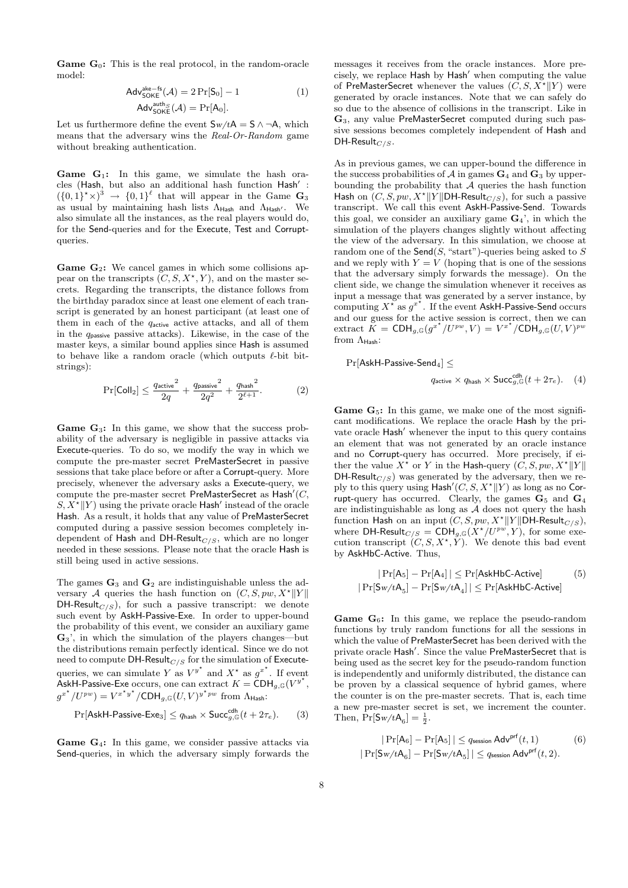**Game**  $G_0$ **:** This is the real protocol, in the random-oracle model:

$$
Adv_{\text{SOKE}}^{\text{ake-fs}}(\mathcal{A}) = 2 \Pr[S_0] - 1
$$
\n
$$
Adv_{\text{SOKE}}^{\text{auth,s}}(\mathcal{A}) = \Pr[A_0].
$$
\n(1)

Let us furthermore define the event  $S_w/tA = S \wedge \neg A$ , which means that the adversary wins the Real-Or-Random game without breaking authentication.

**Game**  $G_1$ **:** In this game, we simulate the hash oracles (Hash, but also an additional hash function Hash':  $({0,1}^{\star}\times)^3 \rightarrow {0,1}^{\ell}$  that will appear in the Game  $\mathbf{G}_3$ as usual by maintaining hash lists  $\Lambda_{\text{Hash}}$  and  $\Lambda_{\text{Hash}}$ . We also simulate all the instances, as the real players would do, for the Send-queries and for the Execute, Test and Corruptqueries.

**Game G<sub>2</sub>:** We cancel games in which some collisions appear on the transcripts  $(C, S, X^*, Y)$ , and on the master secrets. Regarding the transcripts, the distance follows from the birthday paradox since at least one element of each transcript is generated by an honest participant (at least one of them in each of the  $q_{\text{active}}$  active attacks, and all of them in the  $q_{\text{passive}}$  passive attacks). Likewise, in the case of the master keys, a similar bound applies since Hash is assumed to behave like a random oracle (which outputs  $\ell$ -bit bitstrings):

$$
\Pr[\text{Coll}_2] \le \frac{q_{\text{active}}^2}{2q} + \frac{q_{\text{passive}}^2}{2q^2} + \frac{q_{\text{hash}}^2}{2^{\ell+1}}.\tag{2}
$$

Game G3: In this game, we show that the success probability of the adversary is negligible in passive attacks via Execute-queries. To do so, we modify the way in which we compute the pre-master secret PreMasterSecret in passive sessions that take place before or after a Corrupt-query. More precisely, whenever the adversary asks a Execute-query, we compute the pre-master secret  $PreMasterSecret$  as  $Hash'(C,$  $S, X^* \| Y$  using the private oracle Hash' instead of the oracle Hash. As a result, it holds that any value of PreMasterSecret computed during a passive session becomes completely independent of Hash and DH-Result $_{C/S}$ , which are no longer needed in these sessions. Please note that the oracle Hash is still being used in active sessions.

The games  $\mathbf{G}_3$  and  $\mathbf{G}_2$  are indistinguishable unless the adversary A queries the hash function on  $(C, S, pw, X^* || Y ||$ DH-Result<sub>C/S</sub>), for such a passive transcript: we denote such event by AskH-Passive-Exe. In order to upper-bound the probability of this event, we consider an auxiliary game G3', in which the simulation of the players changes—but the distributions remain perfectly identical. Since we do not need to compute DH-Result $_{C/S}$  for the simulation of Executequeries, we can simulate Y as  $V^{y^*}$  and  $X^*$  as  $g^{x^*}$ . If event AskH-Passive-Exe occurs, one can extract  $K = \text{CDH}_{g,\mathbb{G}}(V^{y^*},)$  $g^{x^*}/U^{pw}$ ) =  $V^{x^*y^*}/\text{CDH}_{g,\mathbb{G}}(U,V)^{y^*pw}$  from  $\Lambda$ <sub>Hash</sub>:

$$
\Pr[\mathsf{AskH-Passive-Exe}_3] \le q_{\mathsf{hash}} \times \mathsf{Succ}_{g,\mathbb{G}}^{\mathsf{cdh}}(t+2\tau_e). \tag{3}
$$

Game G<sub>4</sub>: In this game, we consider passive attacks via Send-queries, in which the adversary simply forwards the

messages it receives from the oracle instances. More precisely, we replace Hash by Hash' when computing the value of PreMasterSecret whenever the values  $(C, S, X^* || Y)$  were generated by oracle instances. Note that we can safely do so due to the absence of collisions in the transcript. Like in G3, any value PreMasterSecret computed during such passive sessions becomes completely independent of Hash and DH-Result $_{C/S}$ .

As in previous games, we can upper-bound the difference in the success probabilities of  $\mathcal A$  in games  $\mathbf{G}_4$  and  $\mathbf{G}_3$  by upperbounding the probability that  $A$  queries the hash function Hash on  $(C, S, pw, X^* || Y || DH-Result_{C/S})$ , for such a passive transcript. We call this event AskH-Passive-Send. Towards this goal, we consider an auxiliary game  $\mathbf{G}_4$ ', in which the simulation of the players changes slightly without affecting the view of the adversary. In this simulation, we choose at random one of the Send(S, "start")-queries being asked to S and we reply with  $Y = V$  (hoping that is one of the sessions that the adversary simply forwards the message). On the client side, we change the simulation whenever it receives as input a message that was generated by a server instance, by computing  $X^*$  as  $g^{x^*}$ . If the event AskH-Passive-Send occurs and our guess for the active session is correct, then we can extract  $K = \text{CDH}_{g,\mathbb{G}}(g^{x^*}/U^{pw}, V) = V^{x^*}/\text{CDH}_{g,\mathbb{G}}(U, V)^{pu}$ from  $\Lambda_{\mathsf{Hash}}$ :

 $Pr[AskH-Passive-Send_4] \leq$ 

$$
q_{\text{active}} \times q_{\text{hash}} \times \text{Succ}_{g, \mathbb{G}}^{\text{cdh}}(t + 2\tau_e). \quad (4)
$$

**Game G<sub>5</sub>:** In this game, we make one of the most significant modifications. We replace the oracle Hash by the private oracle Hash' whenever the input to this query contains an element that was not generated by an oracle instance and no Corrupt-query has occurred. More precisely, if either the value  $X^*$  or Y in the Hash-query  $(C, S, pw, X^* || Y ||$ DH-Result<sub> $C(S)$ </sub> was generated by the adversary, then we reply to this query using  $\textsf{Hash}'(C, S, X^{\star} || Y)$  as long as no Corrupt-query has occurred. Clearly, the games  $G_5$  and  $G_4$ are indistinguishable as long as  $A$  does not query the hash function Hash on an input  $(C, S, pw, X^* || Y || DH-Result_{C/S}),$ where DH-Result<sub>C/S</sub> = CDH<sub>g,G</sub>( $\overline{X^{\star}/U^{pw}}$ ,Y), for some execution transcript  $(C, S, X^*, Y)$ . We denote this bad event by AskHbC-Active. Thus,

$$
|\Pr[A_5] - \Pr[A_4]| \le \Pr[\mathsf{AskHbC\text{-}Active}] \tag{5}
$$

$$
|\Pr[\mathsf{Sw}/tA_5] - \Pr[\mathsf{Sw}/tA_4]| \le \Pr[\mathsf{AskHbC\text{-}Active}]
$$

**Game**  $G_6$ **:** In this game, we replace the pseudo-random functions by truly random functions for all the sessions in which the value of PreMasterSecret has been derived with the private oracle Hash'. Since the value PreMasterSecret that is being used as the secret key for the pseudo-random function is independently and uniformly distributed, the distance can be proven by a classical sequence of hybrid games, where the counter is on the pre-master secrets. That is, each time a new pre-master secret is set, we increment the counter. Then,  $Pr[S_w/tA_6] = \frac{1}{2}$ .

$$
|\Pr[\mathsf{A}_6] - \Pr[\mathsf{A}_5]| \le q_{\text{session}} \operatorname{Adv}^{\text{prf}}(t, 1)
$$
 (6)  

$$
|\Pr[\mathsf{Sw}/t\mathsf{A}_6] - \Pr[\mathsf{Sw}/t\mathsf{A}_5]| \le q_{\text{session}} \operatorname{Adv}^{\text{prf}}(t, 2).
$$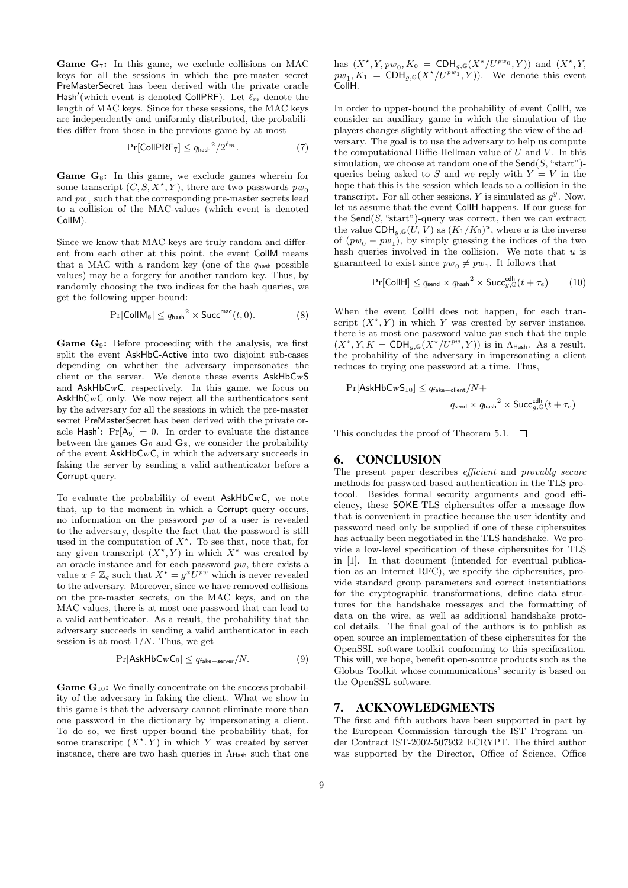**Game G<sub>7</sub>:** In this game, we exclude collisions on MAC keys for all the sessions in which the pre-master secret PreMasterSecret has been derived with the private oracle Hash'(which event is denoted CollPRF). Let  $\ell_m$  denote the length of MAC keys. Since for these sessions, the MAC keys are independently and uniformly distributed, the probabilities differ from those in the previous game by at most

$$
\Pr[\text{CollPRF}_7] \le q_{\text{hash}}^2 / 2^{\ell_m}.\tag{7}
$$

**Game**  $G_8$ **:** In this game, we exclude games wherein for some transcript  $(C, S, X^*, Y)$ , there are two passwords  $pw_0$ and  $pw_1$  such that the corresponding pre-master secrets lead to a collision of the MAC-values (which event is denoted CollM).

Since we know that MAC-keys are truly random and different from each other at this point, the event CollM means that a MAC with a random key (one of the  $q_{\text{hash}}$  possible values) may be a forgery for another random key. Thus, by randomly choosing the two indices for the hash queries, we get the following upper-bound:

$$
\Pr[\text{CollM}_8] \le q_{\text{hash}}^2 \times \text{Succ}^{\text{mac}}(t, 0). \tag{8}
$$

Game G9: Before proceeding with the analysis, we first split the event AskHbC-Active into two disjoint sub-cases depending on whether the adversary impersonates the client or the server. We denote these events AskHbCwS and AskHbCwC, respectively. In this game, we focus on AskHbCwC only. We now reject all the authenticators sent by the adversary for all the sessions in which the pre-master secret PreMasterSecret has been derived with the private oracle Hash':  $Pr[A_9] = 0$ . In order to evaluate the distance between the games  $\mathbf{G}_9$  and  $\mathbf{G}_8$ , we consider the probability of the event AskHbCwC, in which the adversary succeeds in faking the server by sending a valid authenticator before a Corrupt-query.

To evaluate the probability of event  $AskHbCwC$ , we note that, up to the moment in which a Corrupt-query occurs, no information on the password pw of a user is revealed to the adversary, despite the fact that the password is still used in the computation of  $X^*$ . To see that, note that, for any given transcript  $(X^*, Y)$  in which  $X^*$  was created by an oracle instance and for each password pw, there exists a value  $x \in \mathbb{Z}_q$  such that  $X^* = g^x U^{pw}$  which is never revealed to the adversary. Moreover, since we have removed collisions on the pre-master secrets, on the MAC keys, and on the MAC values, there is at most one password that can lead to a valid authenticator. As a result, the probability that the adversary succeeds in sending a valid authenticator in each session is at most  $1/N$ . Thus, we get

$$
\Pr[\mathsf{AskHbCwC}_9] \le q_{\mathsf{fake-server}}/N. \tag{9}
$$

**Game G**<sub>10</sub>: We finally concentrate on the success probability of the adversary in faking the client. What we show in this game is that the adversary cannot eliminate more than one password in the dictionary by impersonating a client. To do so, we first upper-bound the probability that, for some transcript  $(X^*, Y)$  in which Y was created by server instance, there are two hash queries in  $\Lambda_{\text{Hash}}$  such that one has  $(X^*, Y, pw_0, K_0 = \text{CDH}_{g, \mathbb{G}}(X^*/U^{pw_0}, Y))$  and  $(X^*, Y,$  $pw_1, K_1 = \mathsf{CDH}_{g,\mathbb{G}}(X^*/U^{pw_1}, Y)$ . We denote this event CollH.

In order to upper-bound the probability of event CollH, we consider an auxiliary game in which the simulation of the players changes slightly without affecting the view of the adversary. The goal is to use the adversary to help us compute the computational Diffie-Hellman value of  $U$  and  $V$ . In this simulation, we choose at random one of the  $\mathsf{Send}(S, \text{``start''})$ queries being asked to S and we reply with  $Y = V$  in the hope that this is the session which leads to a collision in the transcript. For all other sessions, Y is simulated as  $g^y$ . Now, let us assume that the event CollH happens. If our guess for the  $\mathsf{Send}(S, \text{``start''})$ -query was correct, then we can extract the value  $\text{CDH}_{g,\mathbb{G}}(U, V)$  as  $(K_1/K_0)^u$ , where u is the inverse of  $(pw_0 - pw_1)$ , by simply guessing the indices of the two hash queries involved in the collision. We note that  $u$  is guaranteed to exist since  $pw_0 \neq pw_1$ . It follows that

$$
\Pr[\text{CollH}] \le q_{\text{send}} \times q_{\text{hash}}^2 \times \text{Succ}_{g, \mathbb{G}}^{\text{cdh}}(t + \tau_e) \tag{10}
$$

When the event CollH does not happen, for each transcript  $(X^*, Y)$  in which Y was created by server instance, there is at most one password value  $pw$  such that the tuple  $(X^*, Y, K = \text{CDH}_{g,\mathbb{G}}(X^*/U^{pw}, Y))$  is in  $\Lambda_{\text{Hash}}$ . As a result, the probability of the adversary in impersonating a client reduces to trying one password at a time. Thus,

$$
\begin{aligned} \Pr[\mathsf{AskHbCwS}_{10}] \leq q_{\mathsf{fake-client}}/N + \\q_{\mathsf{send}} \times q_{\mathsf{hash}}^2 \times \mathsf{Succ}^{\mathsf{cdh}}_{g,\mathbb{G}}(t+\tau_e) \end{aligned}
$$

This concludes the proof of Theorem 5.1.  $\Box$ 

## 6. CONCLUSION

The present paper describes efficient and provably secure methods for password-based authentication in the TLS protocol. Besides formal security arguments and good efficiency, these SOKE-TLS ciphersuites offer a message flow that is convenient in practice because the user identity and password need only be supplied if one of these ciphersuites has actually been negotiated in the TLS handshake. We provide a low-level specification of these ciphersuites for TLS in [1]. In that document (intended for eventual publication as an Internet RFC), we specify the ciphersuites, provide standard group parameters and correct instantiations for the cryptographic transformations, define data structures for the handshake messages and the formatting of data on the wire, as well as additional handshake protocol details. The final goal of the authors is to publish as open source an implementation of these ciphersuites for the OpenSSL software toolkit conforming to this specification. This will, we hope, benefit open-source products such as the Globus Toolkit whose communications' security is based on the OpenSSL software.

## 7. ACKNOWLEDGMENTS

The first and fifth authors have been supported in part by the European Commission through the IST Program under Contract IST-2002-507932 ECRYPT. The third author was supported by the Director, Office of Science, Office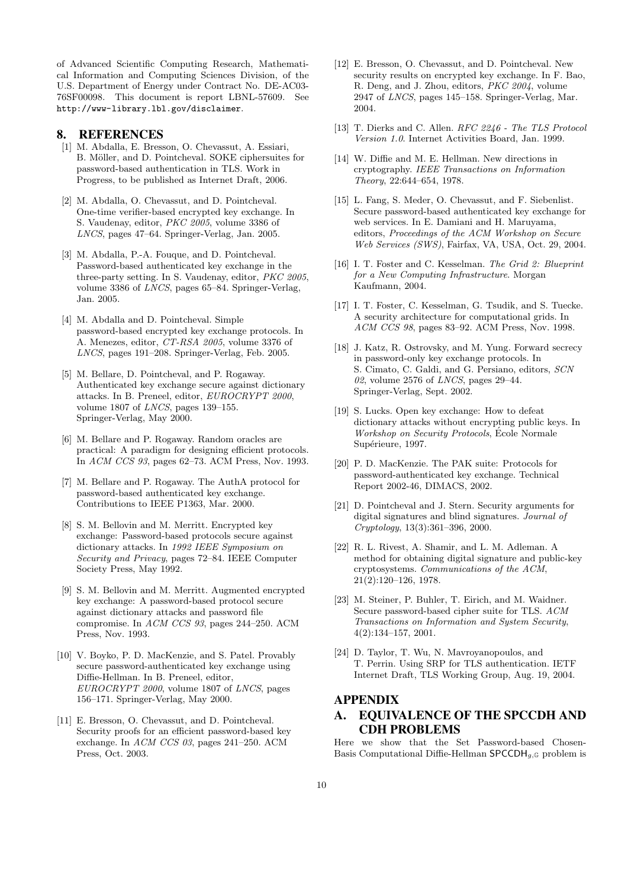of Advanced Scientific Computing Research, Mathematical Information and Computing Sciences Division, of the U.S. Department of Energy under Contract No. DE-AC03- 76SF00098. This document is report LBNL-57609. See http://www-library.lbl.gov/disclaimer.

## 8. REFERENCES

- [1] M. Abdalla, E. Bresson, O. Chevassut, A. Essiari, B. Möller, and D. Pointcheval. SOKE ciphersuites for password-based authentication in TLS. Work in Progress, to be published as Internet Draft, 2006.
- [2] M. Abdalla, O. Chevassut, and D. Pointcheval. One-time verifier-based encrypted key exchange. In S. Vaudenay, editor, PKC 2005, volume 3386 of LNCS, pages 47–64. Springer-Verlag, Jan. 2005.
- [3] M. Abdalla, P.-A. Fouque, and D. Pointcheval. Password-based authenticated key exchange in the three-party setting. In S. Vaudenay, editor, PKC 2005, volume 3386 of LNCS, pages 65–84. Springer-Verlag, Jan. 2005.
- [4] M. Abdalla and D. Pointcheval. Simple password-based encrypted key exchange protocols. In A. Menezes, editor, CT-RSA 2005, volume 3376 of LNCS, pages 191–208. Springer-Verlag, Feb. 2005.
- [5] M. Bellare, D. Pointcheval, and P. Rogaway. Authenticated key exchange secure against dictionary attacks. In B. Preneel, editor, EUROCRYPT 2000, volume 1807 of LNCS, pages 139–155. Springer-Verlag, May 2000.
- [6] M. Bellare and P. Rogaway. Random oracles are practical: A paradigm for designing efficient protocols. In ACM CCS 93, pages 62–73. ACM Press, Nov. 1993.
- [7] M. Bellare and P. Rogaway. The AuthA protocol for password-based authenticated key exchange. Contributions to IEEE P1363, Mar. 2000.
- [8] S. M. Bellovin and M. Merritt. Encrypted key exchange: Password-based protocols secure against dictionary attacks. In 1992 IEEE Symposium on Security and Privacy, pages 72–84. IEEE Computer Society Press, May 1992.
- [9] S. M. Bellovin and M. Merritt. Augmented encrypted key exchange: A password-based protocol secure against dictionary attacks and password file compromise. In ACM CCS 93, pages 244–250. ACM Press, Nov. 1993.
- [10] V. Boyko, P. D. MacKenzie, and S. Patel. Provably secure password-authenticated key exchange using Diffie-Hellman. In B. Preneel, editor, EUROCRYPT 2000, volume 1807 of LNCS, pages 156–171. Springer-Verlag, May 2000.
- [11] E. Bresson, O. Chevassut, and D. Pointcheval. Security proofs for an efficient password-based key exchange. In ACM CCS 03, pages 241–250. ACM Press, Oct. 2003.
- [12] E. Bresson, O. Chevassut, and D. Pointcheval. New security results on encrypted key exchange. In F. Bao, R. Deng, and J. Zhou, editors, PKC 2004, volume 2947 of LNCS, pages 145–158. Springer-Verlag, Mar. 2004.
- [13] T. Dierks and C. Allen. RFC 2246 The TLS Protocol Version 1.0. Internet Activities Board, Jan. 1999.
- [14] W. Diffie and M. E. Hellman. New directions in cryptography. IEEE Transactions on Information Theory, 22:644–654, 1978.
- [15] L. Fang, S. Meder, O. Chevassut, and F. Siebenlist. Secure password-based authenticated key exchange for web services. In E. Damiani and H. Maruyama, editors, Proceedings of the ACM Workshop on Secure Web Services (SWS), Fairfax, VA, USA, Oct. 29, 2004.
- [16] I. T. Foster and C. Kesselman. The Grid 2: Blueprint for a New Computing Infrastructure. Morgan Kaufmann, 2004.
- [17] I. T. Foster, C. Kesselman, G. Tsudik, and S. Tuecke. A security architecture for computational grids. In ACM CCS 98, pages 83–92. ACM Press, Nov. 1998.
- [18] J. Katz, R. Ostrovsky, and M. Yung. Forward secrecy in password-only key exchange protocols. In S. Cimato, C. Galdi, and G. Persiano, editors, SCN 02, volume 2576 of  $LNCS$ , pages 29–44. Springer-Verlag, Sept. 2002.
- [19] S. Lucks. Open key exchange: How to defeat dictionary attacks without encrypting public keys. In Workshop on Security Protocols, Ecole Normale ´ Supérieure, 1997.
- [20] P. D. MacKenzie. The PAK suite: Protocols for password-authenticated key exchange. Technical Report 2002-46, DIMACS, 2002.
- [21] D. Pointcheval and J. Stern. Security arguments for digital signatures and blind signatures. Journal of Cryptology, 13(3):361–396, 2000.
- [22] R. L. Rivest, A. Shamir, and L. M. Adleman. A method for obtaining digital signature and public-key cryptosystems. Communications of the ACM, 21(2):120–126, 1978.
- [23] M. Steiner, P. Buhler, T. Eirich, and M. Waidner. Secure password-based cipher suite for TLS. ACM Transactions on Information and System Security, 4(2):134–157, 2001.
- [24] D. Taylor, T. Wu, N. Mavroyanopoulos, and T. Perrin. Using SRP for TLS authentication. IETF Internet Draft, TLS Working Group, Aug. 19, 2004.

## APPENDIX

# A. EQUIVALENCE OF THE SPCCDH AND CDH PROBLEMS

Here we show that the Set Password-based Chosen-Basis Computational Diffie-Hellman  $\mathsf{SPCCDH}_{g,\mathbb{G}}$  problem is